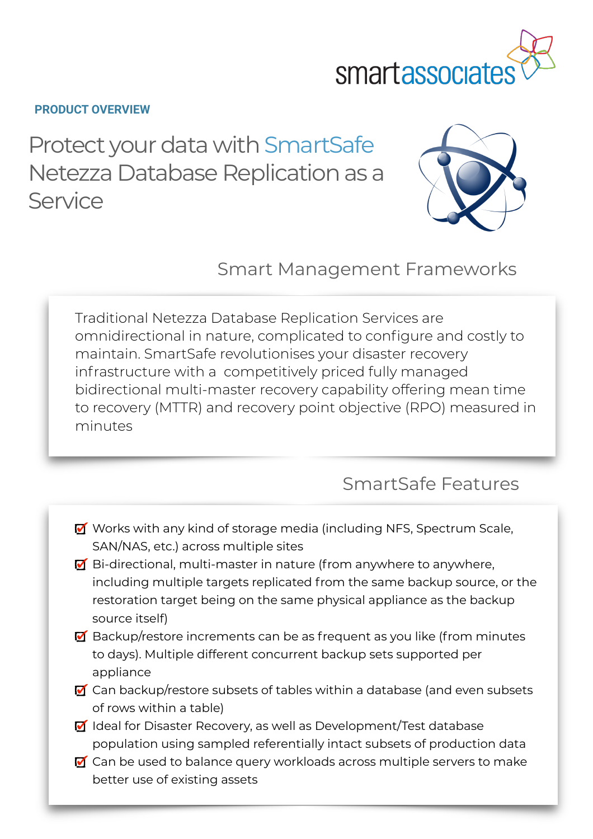

### **PRODUCT OVERVIEW**

Protect your data with SmartSafe Netezza Database Replication as a Service



Smart Management Frameworks

Traditional Netezza Database Replication Services are omnidirectional in nature, complicated to configure and costly to maintain. SmartSafe revolutionises your disaster recovery infrastructure with a competitively priced fully managed bidirectional multi-master recovery capability offering mean time to recovery (MTTR) and recovery point objective (RPO) measured in minutes

# SmartSafe Features

- **M** Works with any kind of storage media (including NFS, Spectrum Scale, SAN/NAS, etc.) across multiple sites
- Bi-directional, multi-master in nature (from anywhere to anywhere, including multiple targets replicated from the same backup source, or the restoration target being on the same physical appliance as the backup source itself)
- $\blacksquare$  Backup/restore increments can be as frequent as you like (from minutes to days). Multiple different concurrent backup sets supported per appliance
- $\blacksquare$  Can backup/restore subsets of tables within a database (and even subsets of rows within a table)
- Ideal for Disaster Recovery, as well as Development/Test database population using sampled referentially intact subsets of production data
- $\blacksquare$  Can be used to balance query workloads across multiple servers to make better use of existing assets